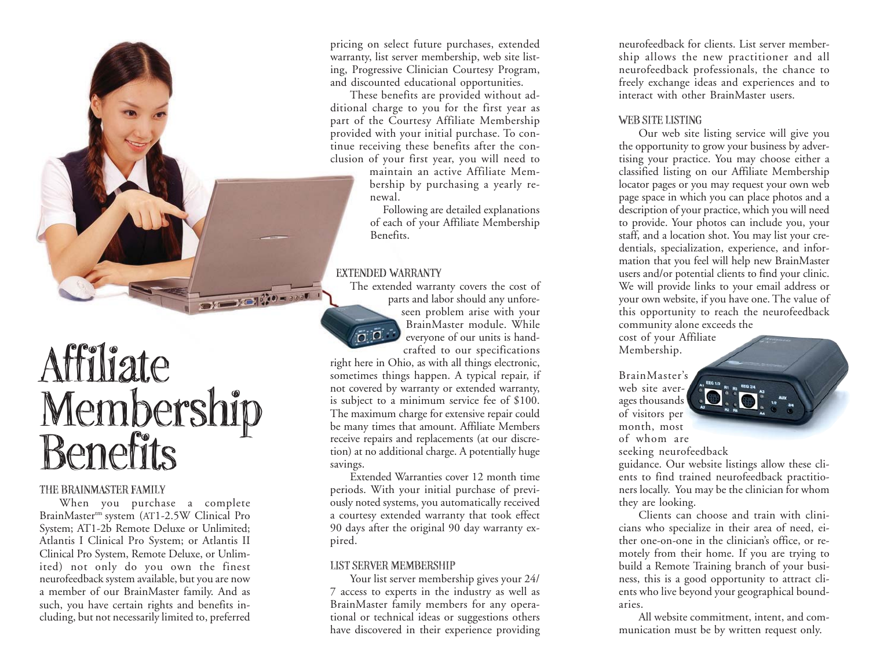Affiliate Membership<br>Benefits

## THE BRAINMASTER FAMILY

When you purchase a complete BrainMaster<sup>tm</sup> system (AT1-2.5W Clinical Pro System; AT1-2b Remote Deluxe or Unlimited; Atlantis I Clinical Pro System; or Atlantis II Clinical Pro System, Remote Deluxe, or Unlimited) not only do you own the finest neurofeedback system available, but you are now a member of our BrainMaster family. And as such, you have certain rights and benefits including, but not necessarily limited to, preferred

pricing on select future purchases, extended warranty, list server membership, web site listing, Progressive Clinician Courtesy Program, and discounted educational opportunities.

These benefits are provided without additional charge to you for the first year as part of the Courtesy Affiliate Membership provided with your initial purchase. To continue receiving these benefits after the conclusion of your first year, you will need to

maintain an active Affiliate Membership by purchasing a yearly renewal.

Following are detailed explanations of each of your Affiliate Membership Benefits.

## EXTENDED WARRANTY



 $\frac{1}{2}$ 

The extended warranty covers the cost of parts and labor should any unforeseen problem arise with your BrainMaster module. Whileeveryone of our units is handcrafted to our specifications

right here in Ohio, as with all things electronic, sometimes things happen. A typical repair, if not covered by warranty or extended warranty, is subject to a minimum service fee of \$100. The maximum charge for extensive repair could be many times that amount. Affiliate Members receive repairs and replacements (at our discretion) at no additional charge. A potentially huge savings.

Extended Warranties cover 12 month time periods. With your initial purchase of previously noted systems, you automatically received a courtesy extended warranty that took effect 90 days after the original 90 day warranty expired.

## LIST SERVER MEMBERSHIP

Your list server membership gives your 24/ 7 access to experts in the industry as well as BrainMaster family members for any operational or technical ideas or suggestions others have discovered in their experience providing

neurofeedback for clients. List server membership allows the new practitioner and all neurofeedback professionals, the chance to freely exchange ideas and experiences and to interact with other BrainMaster users.

#### WEB SITE LISTING

Our web site listing service will give you the opportunity to grow your business by advertising your practice. You may choose either a classified listing on our Affiliate Membership locator pages or you may request your own web page space in which you can place photos and a description of your practice, which you will need to provide. Your photos can include you, your staff, and a location shot. You may list your credentials, specialization, experience, and information that you feel will help new BrainMaster users and/or potential clients to find your clinic. We will provide links to your email address or your own website, if you have one. The value of this opportunity to reach the neurofeedback community alone exceeds the

cost of your Affiliate Membership.

BrainMaster'sweb site averages thousands of visitors per month, most of whom are



seeking neurofeedback

guidance. Our website listings allow these clients to find trained neurofeedback practitioners locally. You may be the clinician for whom they are looking.

Clients can choose and train with clinicians who specialize in their area of need, either one-on-one in the clinician's office, or remotely from their home. If you are trying to build a Remote Training branch of your business, this is a good opportunity to attract clients who live beyond your geographical boundaries.

All website commitment, intent, and communication must be by written request only.